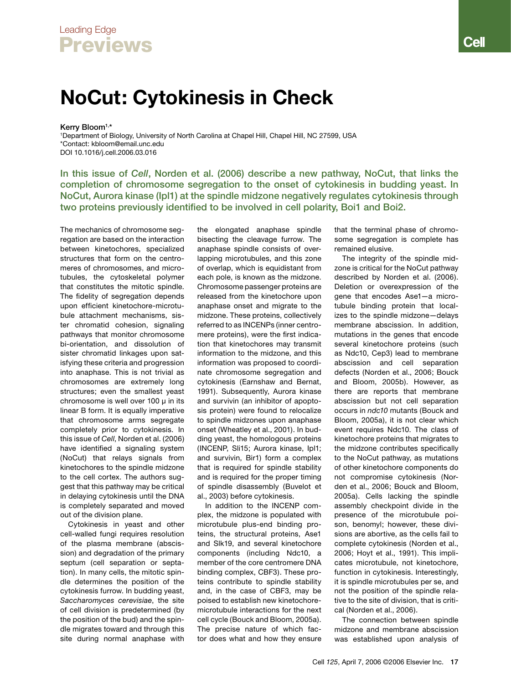## **NoCut: Cytokinesis in Check**

Kerry Bloom1,\*

1 Department of Biology, University of North Carolina at Chapel Hill, Chapel Hill, NC 27599, USA \*Contact: kbloom@email.unc.edu DOI 10.1016/j.cell.2006.03.016

In this issue of *Cell*, Norden et al. (2006) describe a new pathway, NoCut, that links the completion of chromosome segregation to the onset of cytokinesis in budding yeast. In NoCut, Aurora kinase (Ipl1) at the spindle midzone negatively regulates cytokinesis through two proteins previously identified to be involved in cell polarity, Boi1 and Boi2.

The mechanics of chromosome segregation are based on the interaction between kinetochores, specialized structures that form on the centromeres of chromosomes, and microtubules, the cytoskeletal polymer that constitutes the mitotic spindle. The fidelity of segregation depends upon efficient kinetochore-microtubule attachment mechanisms, sister chromatid cohesion, signaling pathways that monitor chromosome bi-orientation, and dissolution of sister chromatid linkages upon satisfying these criteria and progression into anaphase. This is not trivial as chromosomes are extremely long structures; even the smallest yeast chromosome is well over  $100 \mu$  in its linear B form. It is equally imperative that chromosome arms segregate completely prior to cytokinesis. In this issue of *Cell*, Norden et al. (2006) have identified a signaling system (NoCut) that relays signals from kinetochores to the spindle midzone to the cell cortex. The authors suggest that this pathway may be critical in delaying cytokinesis until the DNA is completely separated and moved out of the division plane.

Cytokinesis in yeast and other cell-walled fungi requires resolution of the plasma membrane (abscission) and degradation of the primary septum (cell separation or septation). In many cells, the mitotic spindle determines the position of the cytokinesis furrow. In budding yeast, *Saccharomyces cerevisiae*, the site of cell division is predetermined (by the position of the bud) and the spindle migrates toward and through this site during normal anaphase with the elongated anaphase spindle bisecting the cleavage furrow. The anaphase spindle consists of overlapping microtubules, and this zone of overlap, which is equidistant from each pole, is known as the midzone. Chromosome passenger proteins are released from the kinetochore upon anaphase onset and migrate to the midzone. These proteins, collectively referred to as INCENPs (inner centromere proteins), were the first indication that kinetochores may transmit information to the midzone, and this information was proposed to coordinate chromosome segregation and cytokinesis (Earnshaw and Bernat, 1991). Subsequently, Aurora kinase and survivin (an inhibitor of apoptosis protein) were found to relocalize to spindle midzones upon anaphase onset (Wheatley et al., 2001). In budding yeast, the homologous proteins (INCENP, Sli15; Aurora kinase, Ipl1; and survivin, Bir1) form a complex that is required for spindle stability and is required for the proper timing of spindle disassembly (Buvelot et al., 2003) before cytokinesis.

In addition to the INCENP complex, the midzone is populated with microtubule plus-end binding proteins, the structural proteins, Ase1 and Slk19, and several kinetochore components (including Ndc10, a member of the core centromere DNA binding complex, CBF3). These proteins contribute to spindle stability and, in the case of CBF3, may be poised to establish new kinetochoremicrotubule interactions for the next cell cycle (Bouck and Bloom, 2005a). The precise nature of which factor does what and how they ensure

that the terminal phase of chromosome segregation is complete has remained elusive.

The integrity of the spindle midzone is critical for the NoCut pathway described by Norden et al. (2006). Deletion or overexpression of the gene that encodes Ase1—a microtubule binding protein that localizes to the spindle midzone—delays membrane abscission. In addition, mutations in the genes that encode several kinetochore proteins (such as Ndc10, Cep3) lead to membrane abscission and cell separation defects (Norden et al., 2006; Bouck and Bloom, 2005b). However, as there are reports that membrane abscission but not cell separation occurs in *ndc10* mutants (Bouck and Bloom, 2005a), it is not clear which event requires Ndc10. The class of kinetochore proteins that migrates to the midzone contributes specifically to the NoCut pathway, as mutations of other kinetochore components do not compromise cytokinesis (Norden et al., 2006; Bouck and Bloom, 2005a). Cells lacking the spindle assembly checkpoint divide in the presence of the microtubule poison, benomyl; however, these divisions are abortive, as the cells fail to complete cytokinesis (Norden et al., 2006; Hoyt et al., 1991). This implicates microtubule, not kinetochore, function in cytokinesis. Interestingly, it is spindle microtubules per se, and not the position of the spindle relative to the site of division, that is critical (Norden et al., 2006).

The connection between spindle midzone and membrane abscission was established upon analysis of